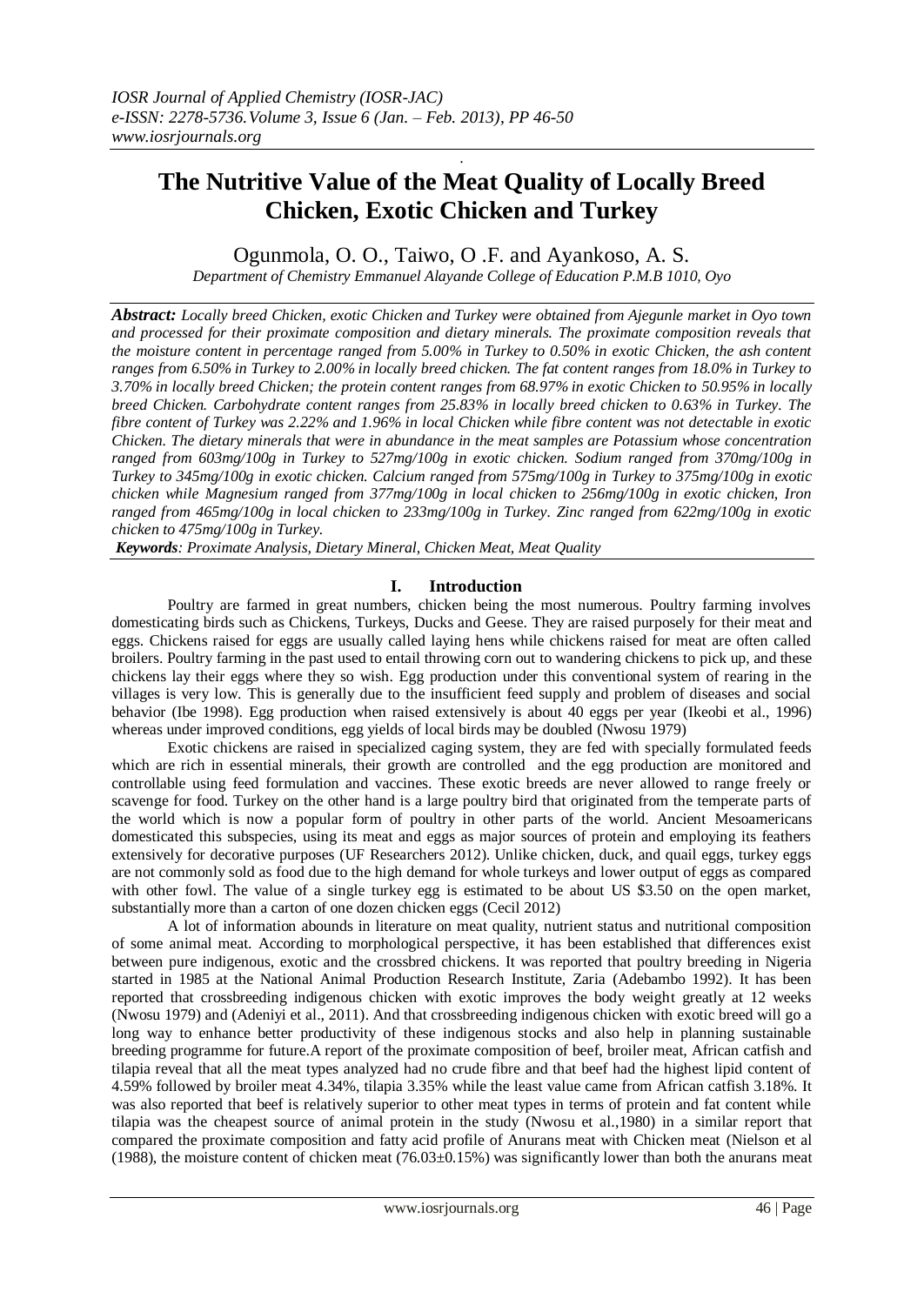# **The Nutritive Value of the Meat Quality of Locally Breed Chicken, Exotic Chicken and Turkey**

.

# Ogunmola, O. O., Taiwo, O .F. and Ayankoso, A. S.

*Department of Chemistry Emmanuel Alayande College of Education P.M.B 1010, Oyo*

*Abstract: Locally breed Chicken, exotic Chicken and Turkey were obtained from Ajegunle market in Oyo town and processed for their proximate composition and dietary minerals. The proximate composition reveals that the moisture content in percentage ranged from 5.00% in Turkey to 0.50% in exotic Chicken, the ash content ranges from 6.50% in Turkey to 2.00% in locally breed chicken. The fat content ranges from 18.0% in Turkey to 3.70% in locally breed Chicken; the protein content ranges from 68.97% in exotic Chicken to 50.95% in locally breed Chicken. Carbohydrate content ranges from 25.83% in locally breed chicken to 0.63% in Turkey. The fibre content of Turkey was 2.22% and 1.96% in local Chicken while fibre content was not detectable in exotic Chicken. The dietary minerals that were in abundance in the meat samples are Potassium whose concentration ranged from 603mg/100g in Turkey to 527mg/100g in exotic chicken. Sodium ranged from 370mg/100g in Turkey to 345mg/100g in exotic chicken. Calcium ranged from 575mg/100g in Turkey to 375mg/100g in exotic chicken while Magnesium ranged from 377mg/100g in local chicken to 256mg/100g in exotic chicken, Iron ranged from 465mg/100g in local chicken to 233mg/100g in Turkey. Zinc ranged from 622mg/100g in exotic chicken to 475mg/100g in Turkey.*

*Keywords: Proximate Analysis, Dietary Mineral, Chicken Meat, Meat Quality* 

## **I. Introduction**

Poultry are farmed in great numbers, chicken being the most numerous. Poultry farming involves domesticating birds such as Chickens, Turkeys, Ducks and Geese. They are raised purposely for their meat and eggs. Chickens raised for eggs are usually called laying hens while chickens raised for meat are often called broilers. Poultry farming in the past used to entail throwing corn out to wandering chickens to pick up, and these chickens lay their eggs where they so wish. Egg production under this conventional system of rearing in the villages is very low. This is generally due to the insufficient feed supply and problem of diseases and social behavior (Ibe 1998). Egg production when raised extensively is about 40 eggs per year (Ikeobi et al., 1996) whereas under improved conditions, egg yields of local birds may be doubled (Nwosu 1979)

Exotic chickens are raised in specialized caging system, they are fed with specially formulated feeds which are rich in essential minerals, their growth are controlled and the egg production are monitored and controllable using feed formulation and vaccines. These exotic breeds are never allowed to range freely or scavenge for food. Turkey on the other hand is a large poultry bird that originated from the temperate parts of the world which is now a popular form of poultry in other parts of the world. Ancient [Mesoamericans](http://en.wikipedia.org/wiki/Mesoamerica) domesticated this subspecies, using its meat and eggs as major sources of protein and employing its feathers extensively for decorative purposes (UF Researchers 2012). Unlike chicken, duck, and quail eggs, turkey eggs are not commonly sold as food due to the high demand for whole turkeys and lower output of eggs as compared with other fowl. The value of a single turkey egg is estimated to be about US \$3.50 on the open market, substantially more than a carton of one dozen chicken eggs (Cecil 2012)

A lot of information abounds in literature on meat quality, nutrient status and nutritional composition of some animal meat. According to morphological perspective, it has been established that differences exist between pure indigenous, exotic and the crossbred chickens. It was reported that poultry breeding in Nigeria started in 1985 at the National Animal Production Research Institute, Zaria (Adebambo 1992). It has been reported that crossbreeding indigenous chicken with exotic improves the body weight greatly at 12 weeks (Nwosu 1979) and (Adeniyi et al., 2011). And that crossbreeding indigenous chicken with exotic breed will go a long way to enhance better productivity of these indigenous stocks and also help in planning sustainable breeding programme for future.A report of the proximate composition of beef, broiler meat, African catfish and tilapia reveal that all the meat types analyzed had no crude fibre and that beef had the highest lipid content of 4.59% followed by broiler meat 4.34%, tilapia 3.35% while the least value came from African catfish 3.18%. It was also reported that beef is relatively superior to other meat types in terms of protein and fat content while tilapia was the cheapest source of animal protein in the study (Nwosu et al.,1980) in a similar report that compared the proximate composition and fatty acid profile of Anurans meat with Chicken meat (Nielson et al (1988), the moisture content of chicken meat  $(76.03\pm0.15\%)$  was significantly lower than both the anurans meat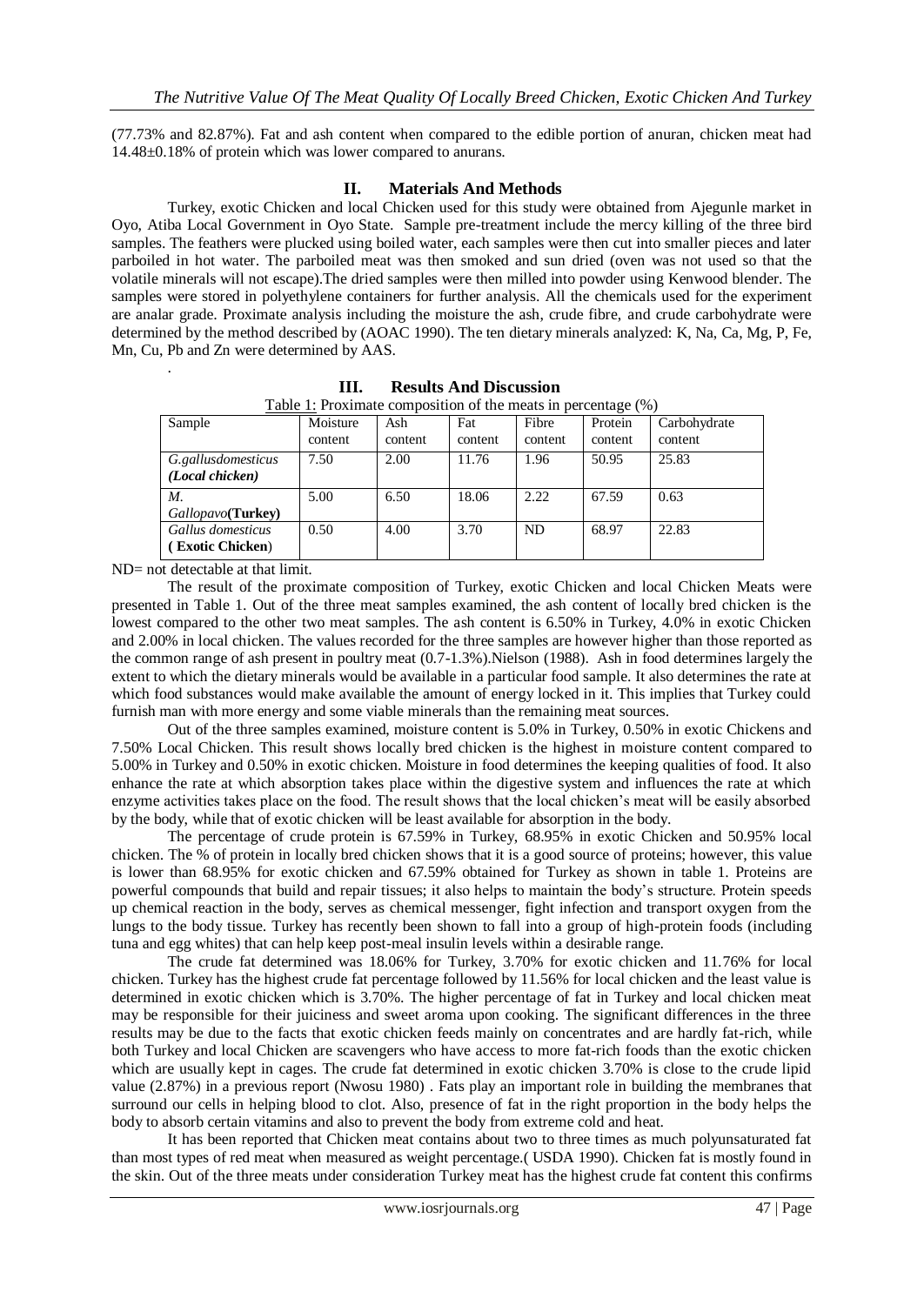(77.73% and 82.87%). Fat and ash content when compared to the edible portion of anuran, chicken meat had 14.48±0.18% of protein which was lower compared to anurans.

### **II. Materials And Methods**

Turkey, exotic Chicken and local Chicken used for this study were obtained from Ajegunle market in Oyo, Atiba Local Government in Oyo State. Sample pre-treatment include the mercy killing of the three bird samples. The feathers were plucked using boiled water, each samples were then cut into smaller pieces and later parboiled in hot water. The parboiled meat was then smoked and sun dried (oven was not used so that the volatile minerals will not escape).The dried samples were then milled into powder using Kenwood blender. The samples were stored in polyethylene containers for further analysis. All the chemicals used for the experiment are analar grade. Proximate analysis including the moisture the ash, crude fibre, and crude carbohydrate were determined by the method described by (AOAC 1990). The ten dietary minerals analyzed: K, Na, Ca, Mg, P, Fe, Mn, Cu, Pb and Zn were determined by AAS.

| Table 1: Proximate composition of the meats in percentage (%) |          |         |         |         |         |              |
|---------------------------------------------------------------|----------|---------|---------|---------|---------|--------------|
| Sample                                                        | Moisture | Ash     | Fat     | Fibre   | Protein | Carbohydrate |
|                                                               | content  | content | content | content | content | content      |
| G.gallusdomesticus                                            | 7.50     | 2.00    | 11.76   | 1.96    | 50.95   | 25.83        |
| (Local chicken)                                               |          |         |         |         |         |              |
| М.                                                            | 5.00     | 6.50    | 18.06   | 2.22    | 67.59   | 0.63         |
| Gallopavo(Turkey)                                             |          |         |         |         |         |              |
| Gallus domesticus                                             | 0.50     | 4.00    | 3.70    | ND.     | 68.97   | 22.83        |
| (Exotic Chicken)                                              |          |         |         |         |         |              |

**III. Results And Discussion**

ND= not detectable at that limit.

.

The result of the proximate composition of Turkey, exotic Chicken and local Chicken Meats were presented in Table 1. Out of the three meat samples examined, the ash content of locally bred chicken is the lowest compared to the other two meat samples. The ash content is 6.50% in Turkey, 4.0% in exotic Chicken and 2.00% in local chicken. The values recorded for the three samples are however higher than those reported as the common range of ash present in poultry meat (0.7-1.3%).Nielson (1988). Ash in food determines largely the extent to which the dietary minerals would be available in a particular food sample. It also determines the rate at which food substances would make available the amount of energy locked in it. This implies that Turkey could furnish man with more energy and some viable minerals than the remaining meat sources.

Out of the three samples examined, moisture content is 5.0% in Turkey, 0.50% in exotic Chickens and 7.50% Local Chicken. This result shows locally bred chicken is the highest in moisture content compared to 5.00% in Turkey and 0.50% in exotic chicken. Moisture in food determines the keeping qualities of food. It also enhance the rate at which absorption takes place within the digestive system and influences the rate at which enzyme activities takes place on the food. The result shows that the local chicken's meat will be easily absorbed by the body, while that of exotic chicken will be least available for absorption in the body.

The percentage of crude protein is 67.59% in Turkey, 68.95% in exotic Chicken and 50.95% local chicken. The % of protein in locally bred chicken shows that it is a good source of proteins; however, this value is lower than 68.95% for exotic chicken and 67.59% obtained for Turkey as shown in table 1. Proteins are powerful compounds that build and repair tissues; it also helps to maintain the body's structure. Protein speeds up chemical reaction in the body, serves as chemical messenger, fight infection and transport oxygen from the lungs to the body tissue. Turkey has recently been shown to fall into a group of high-protein foods (including tuna and egg whites) that can help keep post-meal insulin levels within a desirable range.

The crude fat determined was 18.06% for Turkey, 3.70% for exotic chicken and 11.76% for local chicken. Turkey has the highest crude fat percentage followed by 11.56% for local chicken and the least value is determined in exotic chicken which is 3.70%. The higher percentage of fat in Turkey and local chicken meat may be responsible for their juiciness and sweet aroma upon cooking. The significant differences in the three results may be due to the facts that exotic chicken feeds mainly on concentrates and are hardly fat-rich, while both Turkey and local Chicken are scavengers who have access to more fat-rich foods than the exotic chicken which are usually kept in cages. The crude fat determined in exotic chicken 3.70% is close to the crude lipid value (2.87%) in a previous report (Nwosu 1980) . Fats play an important role in building the membranes that surround our cells in helping blood to clot. Also, presence of fat in the right proportion in the body helps the body to absorb certain vitamins and also to prevent the body from extreme cold and heat.

It has been reported that Chicken meat contains about two to three times as much polyunsaturated fat than most types of red meat when measured as weight percentage.( USDA 1990). Chicken fat is mostly found in the skin. Out of the three meats under consideration Turkey meat has the highest crude fat content this confirms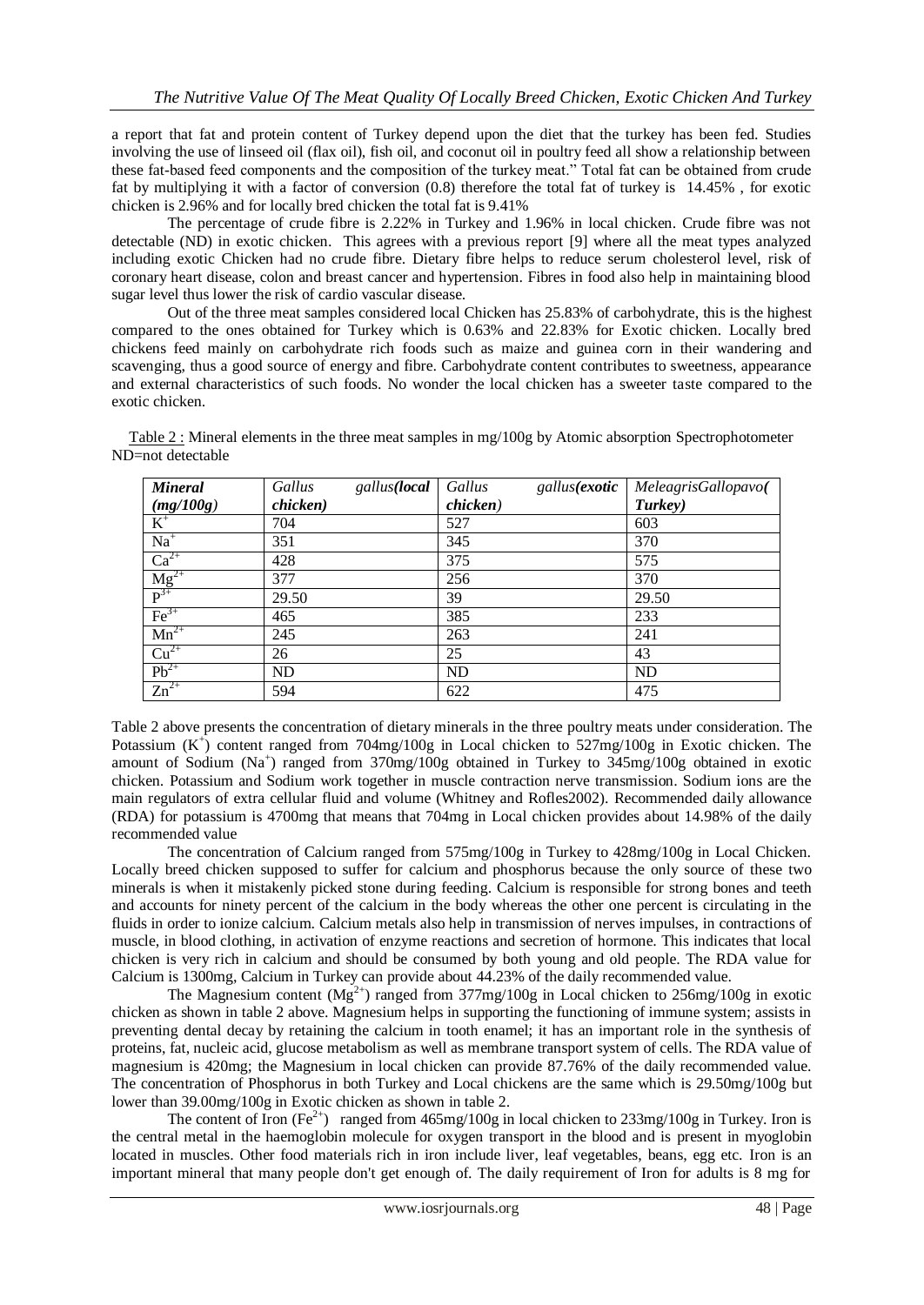a report that fat and protein content of Turkey depend upon the diet that the turkey has been fed. Studies involving the use of linseed oil (flax oil), fish oil, and coconut oil in poultry feed all show a relationship between these fat-based feed components and the composition of the turkey meat." Total fat can be obtained from crude fat by multiplying it with a factor of conversion (0.8) therefore the total fat of turkey is 14.45% , for exotic chicken is 2.96% and for locally bred chicken the total fat is 9.41%

The percentage of crude fibre is 2.22% in Turkey and 1.96% in local chicken. Crude fibre was not detectable (ND) in exotic chicken. This agrees with a previous report [9] where all the meat types analyzed including exotic Chicken had no crude fibre. Dietary fibre helps to reduce serum cholesterol level, risk of coronary heart disease, colon and breast cancer and hypertension. Fibres in food also help in maintaining blood sugar level thus lower the risk of cardio vascular disease.

Out of the three meat samples considered local Chicken has 25.83% of carbohydrate, this is the highest compared to the ones obtained for Turkey which is 0.63% and 22.83% for Exotic chicken. Locally bred chickens feed mainly on carbohydrate rich foods such as maize and guinea corn in their wandering and scavenging, thus a good source of energy and fibre. Carbohydrate content contributes to sweetness, appearance and external characteristics of such foods. No wonder the local chicken has a sweeter taste compared to the exotic chicken.

| <b>Mineral</b>                      | gallus( <b>local</b><br>Gallus | Gallus    | gallus(exotic   MeleagrisGallopavo( |
|-------------------------------------|--------------------------------|-----------|-------------------------------------|
| $\frac{(mg/100g)}{K^+}$             | chicken)                       | chicken)  | Turkey)                             |
|                                     | 704                            | 527       | 603                                 |
| $Na+$                               | 351                            | 345       | 370                                 |
| $Ca^{2+}$                           | 428                            | 375       | 575                                 |
| $\frac{\overline{Mg}^{2+}}{P^{3+}}$ | 377                            | 256       | 370                                 |
|                                     | 29.50                          | 39        | 29.50                               |
| $\text{Fe}^{3+}$                    | 465                            | 385       | 233                                 |
| $Mn^{2+}$                           | 245                            | 263       | 241                                 |
| $Cu2+$                              | 26                             | 25        | 43                                  |
| $Pb^{2+}$                           | <b>ND</b>                      | <b>ND</b> | <b>ND</b>                           |
| $Zn^{2+}$                           | 594                            | 622       | 475                                 |

Table 2 : Mineral elements in the three meat samples in mg/100g by Atomic absorption Spectrophotometer ND=not detectable

Table 2 above presents the concentration of dietary minerals in the three poultry meats under consideration. The Potassium  $(K^+)$  content ranged from 704mg/100g in Local chicken to 527mg/100g in Exotic chicken. The amount of Sodium (Na<sup>+</sup>) ranged from 370mg/100g obtained in Turkey to 345mg/100g obtained in exotic chicken. Potassium and Sodium work together in muscle contraction nerve transmission. Sodium ions are the main regulators of extra cellular fluid and volume (Whitney and Rofles2002). Recommended daily allowance (RDA) for potassium is 4700mg that means that 704mg in Local chicken provides about 14.98% of the daily recommended value

The concentration of Calcium ranged from 575mg/100g in Turkey to 428mg/100g in Local Chicken. Locally breed chicken supposed to suffer for calcium and phosphorus because the only source of these two minerals is when it mistakenly picked stone during feeding. Calcium is responsible for strong bones and teeth and accounts for ninety percent of the calcium in the body whereas the other one percent is circulating in the fluids in order to ionize calcium. Calcium metals also help in transmission of nerves impulses, in contractions of muscle, in blood clothing, in activation of enzyme reactions and secretion of hormone. This indicates that local chicken is very rich in calcium and should be consumed by both young and old people. The RDA value for Calcium is 1300mg, Calcium in Turkey can provide about 44.23% of the daily recommended value.

The Magnesium content  $(Mg^{2+})$  ranged from 377mg/100g in Local chicken to 256mg/100g in exotic chicken as shown in table 2 above. Magnesium helps in supporting the functioning of immune system; assists in preventing dental decay by retaining the calcium in tooth enamel; it has an important role in the synthesis of proteins, fat, nucleic acid, glucose metabolism as well as membrane transport system of cells. The RDA value of magnesium is 420mg; the Magnesium in local chicken can provide 87.76% of the daily recommended value. The concentration of Phosphorus in both Turkey and Local chickens are the same which is 29.50mg/100g but lower than 39.00mg/100g in Exotic chicken as shown in table 2.

The content of Iron  $(Fe^{2+})$  ranged from 465mg/100g in local chicken to 233mg/100g in Turkey. Iron is the central metal in the haemoglobin molecule for oxygen transport in the blood and is present in myoglobin located in muscles. Other food materials rich in iron include liver, leaf vegetables, beans, egg etc. Iron is an important mineral that many people don't get enough of. The daily requirement of Iron for adults is 8 mg for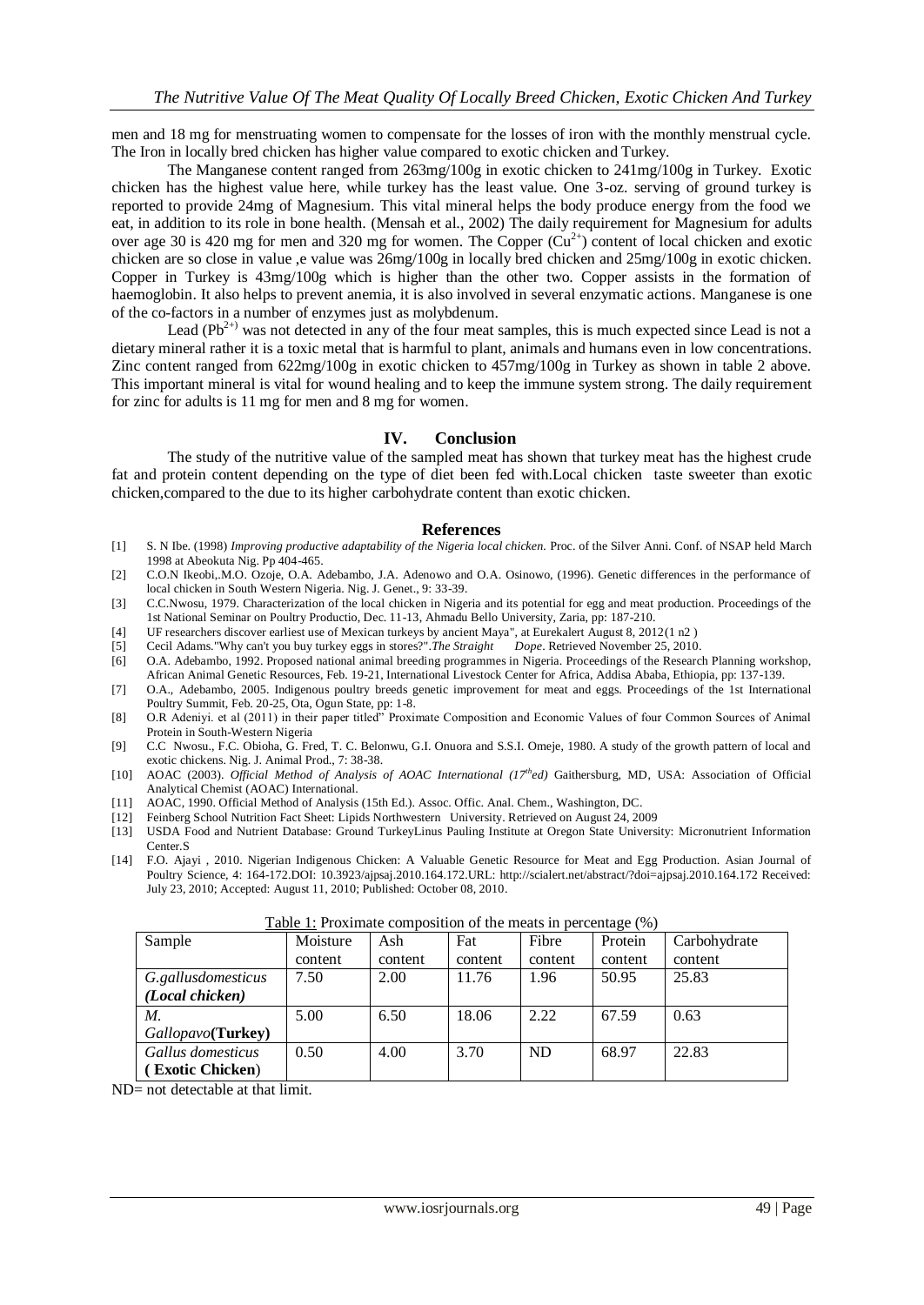men and 18 mg for menstruating women to compensate for the losses of iron with the monthly menstrual cycle. The Iron in locally bred chicken has higher value compared to exotic chicken and Turkey.

The Manganese content ranged from 263mg/100g in exotic chicken to 241mg/100g in Turkey. Exotic chicken has the highest value here, while turkey has the least value. One 3-oz. serving of ground turkey is reported to provide 24mg of Magnesium. This vital mineral helps the body produce energy from the food we eat, in addition to its role in bone health. (Mensah et al., 2002) The daily requirement for Magnesium for adults over age 30 is 420 mg for men and 320 mg for women. The Copper  $(Cu^{2+})$  content of local chicken and exotic chicken are so close in value ,e value was 26mg/100g in locally bred chicken and 25mg/100g in exotic chicken. Copper in Turkey is 43mg/100g which is higher than the other two. Copper assists in the formation of haemoglobin. It also helps to prevent anemia, it is also involved in several enzymatic actions. Manganese is one of the co-factors in a number of enzymes just as molybdenum.

Lead  $(Pb^{2+})$  was not detected in any of the four meat samples, this is much expected since Lead is not a dietary mineral rather it is a toxic metal that is harmful to plant, animals and humans even in low concentrations. Zinc content ranged from 622mg/100g in exotic chicken to 457mg/100g in Turkey as shown in table 2 above. This important mineral is vital for wound healing and to keep the immune system strong. The daily requirement for zinc for adults is 11 mg for men and 8 mg for women.

#### **IV. Conclusion**

The study of the nutritive value of the sampled meat has shown that turkey meat has the highest crude fat and protein content depending on the type of diet been fed with.Local chicken taste sweeter than exotic chicken,compared to the due to its higher carbohydrate content than exotic chicken.

#### **References**

- [1] S. N Ibe. (1998) *Improving productive adaptability of the Nigeria local chicken.* Proc. of the Silver Anni. Conf. of NSAP held March 1998 at Abeokuta Nig. Pp 404-465.
- [2] C.O.N Ikeobi,.M.O. Ozoje, O.A. Adebambo, J.A. Adenowo and O.A. Osinowo, (1996). Genetic differences in the performance of local chicken in South Western Nigeria. Nig. J. Genet., 9: 33-39.
- [3] C.C.Nwosu, 1979. Characterization of the local chicken in Nigeria and its potential for egg and meat production. Proceedings of the 1st National Seminar on Poultry Productio, Dec. 11-13, Ahmadu Bello University, Zaria, pp: 187-210.
- [4] [UF researchers discover earliest use of Mexican turkeys by ancient Maya", at Eurekalert August 8, 2012\(](http://www.eurekalert.org/pub_releases/2012-08/uof-urd080812.php)1 n2 )
- [5] Cecil Adam[s."Why can't you buy turkey eggs in stores?".](http://www.straightdope.com/columns/read/1262/why-cant-you-buy-turkey-eggs-in-stores)*The Straight Dope*. Retrieved November 25, 2010.
- [6] O.A. Adebambo, 1992. Proposed national animal breeding programmes in Nigeria. Proceedings of the Research Planning workshop, African Animal Genetic Resources, Feb. 19-21, International Livestock Center for Africa, Addisa Ababa, Ethiopia, pp: 137-139.
- [7] O.A., Adebambo, 2005. Indigenous poultry breeds genetic improvement for meat and eggs. Proceedings of the 1st International Poultry Summit, Feb. 20-25, Ota, Ogun State, pp: 1-8.
- [8] O.R Adeniyi. et al (2011) in their paper titled" Proximate Composition and Economic Values of four Common Sources of Animal Protein in South-Western Nigeria
- [9] C.C Nwosu., F.C. Obioha, G. Fred, T. C. Belonwu, G.I. Onuora and S.S.I. Omeje, 1980. A study of the growth pattern of local and exotic chickens. Nig. J. Animal Prod., 7: 38-38.
- [10] AOAC (2003). *Official Method of Analysis of AOAC International (17thed)* Gaithersburg, MD, USA: Association of Official Analytical Chemist (AOAC) International.
- [11] AOAC, 1990. Official Method of Analysis (15th Ed.). Assoc. Offic. Anal. Chem., Washington, DC.
- [12] [Feinberg School Nutrition Fact Sheet: Lipids](http://nuinfo-proto4.northwestern.edu/nutrition/factsheets/lipids.html) Northwestern University. Retrieved on August 24, 2009
- [13] USDA Food and Nutrient Database: Ground TurkeyLinus Pauling Institute at Oregon State University: Micronutrient Information Center.S
- [14] F.O. Ajayi , 2010. Nigerian Indigenous Chicken: A Valuable Genetic Resource for Meat and Egg Production. Asian Journal of Poultry Science, 4: 164-172.DOI: 10.3923/ajpsaj.2010.164.172.URL: http://scialert.net/abstract/?doi=ajpsaj.2010.164.172 Received: July 23, 2010; Accepted: August 11, 2010; Published: October 08, 2010.

| <b>Tuble 1: ITOAIIllate composition of the meats in percentage</b> (70) |          |         |         |           |         |              |
|-------------------------------------------------------------------------|----------|---------|---------|-----------|---------|--------------|
| Sample                                                                  | Moisture | Ash     | Fat     | Fibre     | Protein | Carbohydrate |
|                                                                         | content  | content | content | content   | content | content      |
| G.gallusdomesticus                                                      | 7.50     | 2.00    | 11.76   | 1.96      | 50.95   | 25.83        |
| (Local chicken)                                                         |          |         |         |           |         |              |
| М.                                                                      | 5.00     | 6.50    | 18.06   | 2.22      | 67.59   | 0.63         |
| Gallopavo(Turkey)                                                       |          |         |         |           |         |              |
| Gallus domesticus                                                       | 0.50     | 4.00    | 3.70    | <b>ND</b> | 68.97   | 22.83        |
| (Exotic Chicken)                                                        |          |         |         |           |         |              |
|                                                                         |          |         |         |           |         |              |

Table 1: Proximate composition of the meats in percentage (%)

ND= not detectable at that limit.